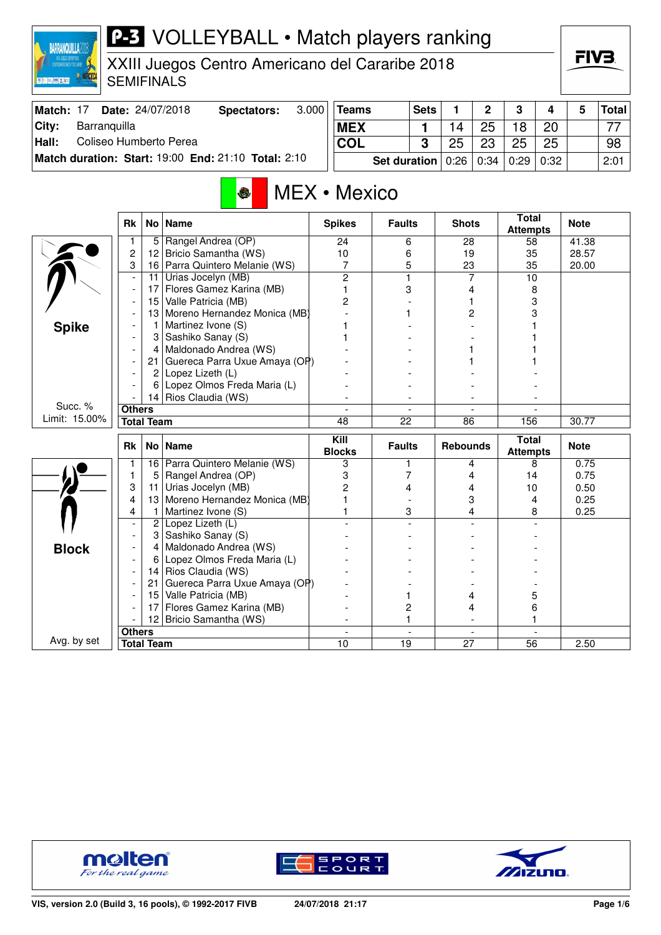| CENTROANERICANOS FOEL CARBE<br><b>MANORCECA</b><br>图图三脚图器 |                          |                    | XXIII Juegos Centro Americano del Cararibe 2018<br><b>SEMIFINALS</b> |       |                       |                     |                          |                 |                |                                 |                         | ГІУӘ         |              |
|-----------------------------------------------------------|--------------------------|--------------------|----------------------------------------------------------------------|-------|-----------------------|---------------------|--------------------------|-----------------|----------------|---------------------------------|-------------------------|--------------|--------------|
| Match: 17                                                 |                          |                    | Date: 24/07/2018<br><b>Spectators:</b>                               | 3.000 | <b>Teams</b>          |                     | <b>Sets</b>              | 1               | $\mathbf{2}$   | 3                               | $\overline{\mathbf{4}}$ | 5            | <b>Total</b> |
| City:<br>Barranquilla                                     |                          |                    |                                                                      |       | <b>MEX</b>            |                     | 1                        | 14              | 25             | 18                              | 20                      |              | 77           |
| Hall:<br>Coliseo Humberto Perea                           |                          |                    |                                                                      |       | <b>COL</b>            |                     | 3                        | 25              | 23             | 25                              | 25                      |              | 98           |
|                                                           |                          |                    | Match duration: Start: 19:00 End: 21:10 Total: 2:10                  |       |                       | Set duration        |                          | 0:26            | 0:34           | 0:29                            | 0:32                    |              | 2:01         |
|                                                           |                          |                    | MEX • Mexico<br>3                                                    |       |                       |                     |                          |                 |                | <b>Total</b>                    |                         |              |              |
|                                                           | Rk                       | No                 | <b>Name</b>                                                          |       | <b>Spikes</b>         | <b>Faults</b>       |                          | <b>Shots</b>    |                | <b>Attempts</b>                 |                         | <b>Note</b>  |              |
|                                                           | 1                        | 5                  | Rangel Andrea (OP)                                                   |       | 24                    | 6                   |                          | 28              |                | 58                              |                         | 41.38        |              |
|                                                           | 2                        | 12 <sub>2</sub>    | Bricio Samantha (WS)                                                 |       | 10                    | 6                   |                          | 19              |                | 35                              |                         | 28.57        |              |
|                                                           | 3                        |                    | 16 Parra Quintero Melanie (WS)<br>Urias Jocelyn (MB)                 |       | 7<br>$\overline{2}$   | 5<br>$\overline{1}$ |                          | 23              | 7              | 35<br>$\overline{10}$           |                         | 20.00        |              |
|                                                           | $\overline{\phantom{a}}$ | 11<br>17           | Flores Gamez Karina (MB)                                             |       | 1                     | 3                   |                          |                 | 4              |                                 | 8                       |              |              |
|                                                           |                          | 15                 | Valle Patricia (MB)                                                  |       | 2                     |                     |                          |                 | 1              |                                 | 3                       |              |              |
|                                                           |                          | 13                 | Moreno Hernandez Monica (MB)                                         |       |                       | 1                   |                          |                 | 2              |                                 | 3                       |              |              |
| <b>Spike</b>                                              |                          | $\mathbf{1}$       | Martinez Ivone (S)                                                   |       | 1                     |                     |                          |                 |                |                                 |                         |              |              |
|                                                           |                          | 3                  | Sashiko Sanay (S)                                                    |       | 1                     |                     |                          |                 |                |                                 |                         |              |              |
|                                                           |                          | $\overline{a}$     | Maldonado Andrea (WS)                                                |       |                       |                     |                          |                 |                |                                 |                         |              |              |
|                                                           |                          | 21                 | Guereca Parra Uxue Amaya (OP)                                        |       |                       |                     |                          |                 |                |                                 |                         |              |              |
|                                                           |                          | $\overline{2}$     | Lopez Lizeth (L)                                                     |       |                       |                     |                          |                 |                |                                 |                         |              |              |
|                                                           |                          | 6                  | Lopez Olmos Freda Maria (L)                                          |       |                       |                     |                          |                 |                |                                 |                         |              |              |
|                                                           |                          | 14                 | Rios Claudia (WS)                                                    |       |                       |                     |                          |                 |                |                                 |                         |              |              |
| Succ. %                                                   | <b>Others</b>            |                    |                                                                      |       |                       |                     | $\overline{\phantom{a}}$ |                 | $\overline{a}$ |                                 |                         |              |              |
| Limit: 15.00%                                             |                          | <b>Total Team</b>  |                                                                      |       | $\overline{48}$       | $\overline{22}$     |                          | $\overline{86}$ |                | 156                             |                         | 30.77        |              |
|                                                           | <b>Rk</b>                | No                 | <b>Name</b>                                                          |       | Kill<br><b>Blocks</b> | <b>Faults</b>       |                          | <b>Rebounds</b> |                | <b>Total</b><br><b>Attempts</b> |                         | <b>Note</b>  |              |
|                                                           | 1                        | 16                 | Parra Quintero Melanie (WS)                                          |       | 3                     | $\mathbf{1}$        |                          |                 | 4              |                                 | 8                       | 0.75         |              |
|                                                           | 1                        | 5                  | Rangel Andrea (OP)                                                   |       | 3                     | 7                   |                          |                 | 4              | 14                              |                         | 0.75         |              |
|                                                           | 3                        | 11                 | Urias Jocelyn (MB)                                                   |       | $\overline{c}$        | 4                   |                          |                 | 4              | 10                              |                         | 0.50         |              |
|                                                           | 4<br>4                   | 13<br>$\mathbf{1}$ | Moreno Hernandez Monica (MB)<br>Martinez Ivone (S)                   |       | 1<br>1                |                     | 3                        |                 | 3<br>4         |                                 | 4                       | 0.25<br>0.25 |              |
|                                                           |                          |                    | 2 Lopez Lizeth (L)                                                   |       |                       |                     |                          |                 |                |                                 | 8                       |              |              |
|                                                           |                          | 3                  | Sashiko Sanay (S)                                                    |       |                       |                     |                          |                 |                |                                 |                         |              |              |
| <b>Block</b>                                              |                          | 4                  | Maldonado Andrea (WS)                                                |       |                       |                     |                          |                 |                |                                 |                         |              |              |
|                                                           |                          | 6                  | Lopez Olmos Freda Maria (L)                                          |       |                       |                     |                          |                 |                |                                 |                         |              |              |
|                                                           |                          | 14                 | Rios Claudia (WS)                                                    |       |                       |                     |                          |                 |                |                                 |                         |              |              |
|                                                           |                          | 21                 | Guereca Parra Uxue Amaya (OP)                                        |       |                       |                     |                          |                 |                |                                 |                         |              |              |
|                                                           |                          | 15                 | Valle Patricia (MB)                                                  |       |                       | 1                   |                          |                 | 4              |                                 | 5                       |              |              |
|                                                           |                          | 17                 | Flores Gamez Karina (MB)                                             |       |                       | $\overline{c}$      |                          |                 | 4              |                                 | 6                       |              |              |
|                                                           |                          |                    | 12 Bricio Samantha (WS)                                              |       |                       | $\mathbf{1}$        |                          |                 |                |                                 | 1                       |              |              |



Avg. by set

**BARRANQUILLA2018** 



**Others** - - - -

**Total Team 10 19 27 56 2.50** 

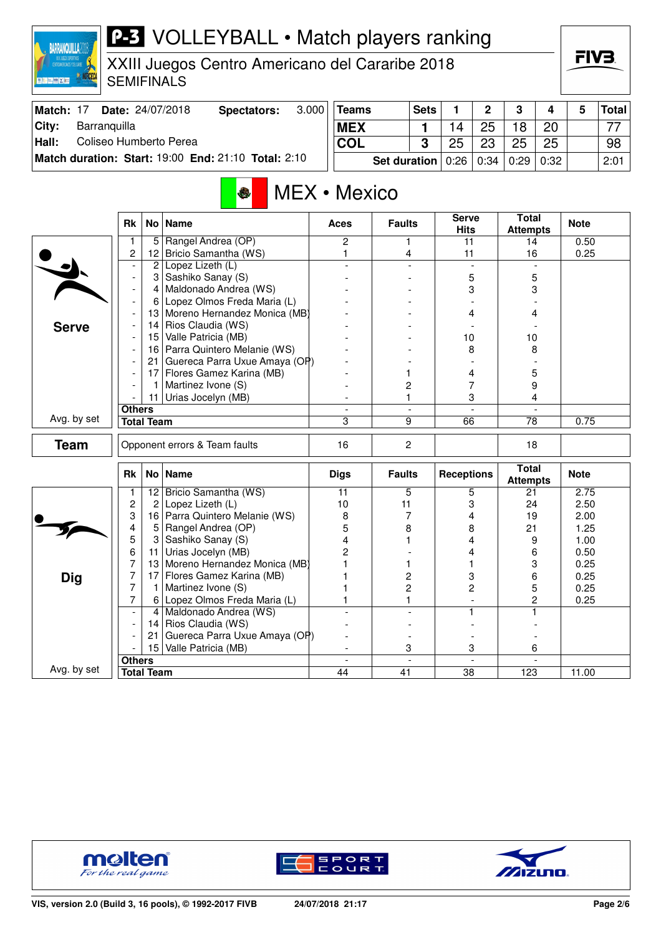| CENTROLNERCANDS Y DEL CARLE<br><b>夏<del>阳回</del> 图 X 图</b> |               |                   | XXIII Juegos Centro Americano del Cararibe 2018<br><b>SEMIFINALS</b> |       |              |               |                         |                             |        |                                 |        | ГІУӘ         |              |
|------------------------------------------------------------|---------------|-------------------|----------------------------------------------------------------------|-------|--------------|---------------|-------------------------|-----------------------------|--------|---------------------------------|--------|--------------|--------------|
| Match: 17                                                  |               |                   | Date: 24/07/2018<br><b>Spectators:</b>                               | 3.000 | <b>Teams</b> |               | <b>Sets</b>             | 1                           | 2      | 3                               | 4      | 5            | <b>Total</b> |
| City:<br>Barranquilla                                      |               |                   |                                                                      |       | <b>MEX</b>   |               | 1                       | 14                          | 25     | 18                              | 20     |              | 77           |
| Hall:<br>Coliseo Humberto Perea                            |               |                   |                                                                      |       | <b>COL</b>   |               | 3                       | 25                          | 23     | 25                              | 25     |              | 98           |
|                                                            |               |                   | Match duration: Start: 19:00 End: 21:10 Total: 2:10                  |       |              | Set duration  |                         | 0:26                        | 0:34   | 0:29                            | 0:32   |              | 2:01         |
|                                                            |               |                   | ♦                                                                    |       | MEX • Mexico |               |                         |                             |        |                                 |        |              |              |
|                                                            | <b>Rk</b>     | No <sub>1</sub>   | <b>Name</b>                                                          |       | <b>Aces</b>  | <b>Faults</b> |                         | <b>Serve</b><br><b>Hits</b> |        | <b>Total</b><br><b>Attempts</b> |        | <b>Note</b>  |              |
|                                                            | 1             | 5                 | Rangel Andrea (OP)                                                   |       | 2            |               | 1                       | 11                          |        | 14                              |        | 0.50         |              |
|                                                            | 2             | 12 <sub>2</sub>   | Bricio Samantha (WS)<br>Lopez Lizeth (L)                             |       | 1            |               | 4                       | 11                          |        | 16                              |        | 0.25         |              |
|                                                            |               | 2<br>3            | Sashiko Sanay (S)                                                    |       |              |               |                         |                             | 5      |                                 | 5      |              |              |
|                                                            |               | 4                 | Maldonado Andrea (WS)                                                |       |              |               |                         |                             | 3      |                                 | 3      |              |              |
|                                                            |               | 6                 | Lopez Olmos Freda Maria (L)                                          |       |              |               |                         |                             |        |                                 |        |              |              |
|                                                            |               | 13                | Moreno Hernandez Monica (MB)                                         |       |              |               |                         |                             | 4      |                                 | 4      |              |              |
| <b>Serve</b>                                               |               | 14                | Rios Claudia (WS)                                                    |       |              |               |                         |                             |        |                                 |        |              |              |
|                                                            |               | 15                | Valle Patricia (MB)                                                  |       |              |               |                         | 10                          |        | 10                              |        |              |              |
|                                                            |               | 16                | Parra Quintero Melanie (WS)                                          |       |              |               |                         |                             | 8      |                                 | 8      |              |              |
|                                                            |               | 21                | Guereca Parra Uxue Amaya (OP)                                        |       |              |               |                         |                             |        |                                 |        |              |              |
|                                                            |               | 17                | Flores Gamez Karina (MB)                                             |       |              | 1             |                         |                             | 4      |                                 | 5      |              |              |
|                                                            |               | 11                | Martinez Ivone (S)<br>Urias Jocelyn (MB)                             |       |              | 1             | 2                       |                             | 7<br>3 |                                 | 9<br>4 |              |              |
|                                                            | <b>Others</b> |                   |                                                                      |       |              |               |                         |                             |        |                                 |        |              |              |
| Avg. by set                                                |               | <b>Total Team</b> |                                                                      |       | 3            |               | 9                       | 66                          |        | 78                              |        | 0.75         |              |
|                                                            |               |                   |                                                                      |       |              |               |                         |                             |        |                                 |        |              |              |
| <b>Team</b>                                                |               |                   | Opponent errors & Team faults                                        |       | 16           |               | 2                       |                             |        | 18                              |        |              |              |
|                                                            | <b>Rk</b>     | No                | <b>Name</b>                                                          |       | <b>Digs</b>  | <b>Faults</b> |                         | <b>Receptions</b>           |        | <b>Total</b><br><b>Attempts</b> |        | <b>Note</b>  |              |
|                                                            |               | $\overline{12}$   | Bricio Samantha (WS)                                                 |       | 11           |               | 5                       |                             | 5      | 21                              |        | 2.75         |              |
|                                                            | 2             | 2                 | Lopez Lizeth (L)                                                     |       | 10           | 11            |                         |                             | 3      | 24                              |        | 2.50         |              |
|                                                            | 3             | 16                | Parra Quintero Melanie (WS)                                          |       | 8            |               | 7                       |                             | 4      | 19                              |        | 2.00         |              |
|                                                            | 4<br>5        | 5                 | Rangel Andrea (OP)<br>Sashiko Sanay (S)                              |       | 5<br>4       | 8             |                         |                             | 8<br>4 | 21<br>9                         |        | 1.25<br>1.00 |              |
|                                                            | 6             | 11                | Urias Jocelyn (MB)                                                   |       | 2            |               |                         |                             | 4      | 6                               |        | 0.50         |              |
|                                                            | 7             | 13                | Moreno Hernandez Monica (MB)                                         |       |              | 1             |                         |                             | 1      |                                 | 3      | 0.25         |              |
| <b>Dig</b>                                                 | 7             | 17                | Flores Gamez Karina (MB)                                             |       |              |               | $\overline{\mathbf{c}}$ |                             | 3      |                                 | 6      | 0.25         |              |
|                                                            | 7             |                   | Martinez Ivone (S)                                                   |       |              |               | $\overline{c}$          |                             | 2      |                                 | 5      | 0.25         |              |
|                                                            | 7             | 6                 | Lopez Olmos Freda Maria (L)                                          |       |              |               |                         |                             |        |                                 | 2      | 0.25         |              |
|                                                            |               | 4                 | Maldonado Andrea (WS)                                                |       |              |               |                         |                             | 1.     |                                 | 1.     |              |              |
|                                                            |               | 14                | Rios Claudia (WS)                                                    |       |              |               |                         |                             |        |                                 |        |              |              |
|                                                            |               | 21                | Guereca Parra Uxue Amaya (OP)                                        |       |              |               |                         |                             |        |                                 |        |              |              |
|                                                            |               | 15 <sub>1</sub>   | Valle Patricia (MB)                                                  |       |              |               | 3                       |                             | 3      |                                 | 6      |              |              |



Avg. by set

**BARRANQUILLA2018** 



**Others** - - - -

**Total Team 44 41 38 123 11.00** 



 $=IV$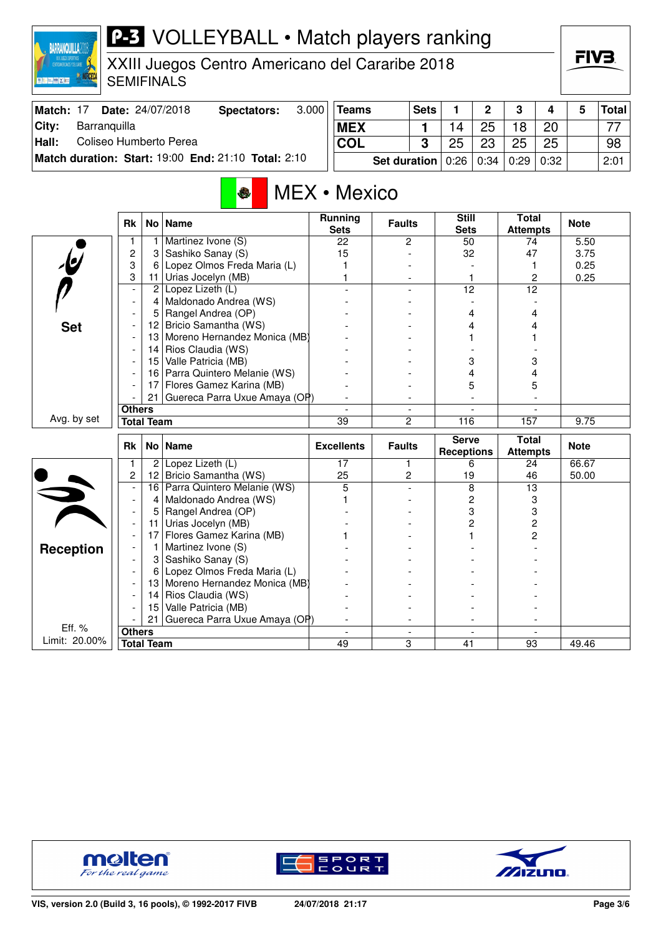#### **P-3** VOLLEYBALL • Match players ranking **BARRANQUILLA2018**

XXIII Juegos Centro Americano del Cararibe 2018 SEMIFINALS

| Match: 17 | Date: 24/07/2018                                    | Spectators: | 3.000 | Teams                                    | <b>Sets</b> |    | C  | 3  |    | Total <sup> </sup> |
|-----------|-----------------------------------------------------|-------------|-------|------------------------------------------|-------------|----|----|----|----|--------------------|
| City:     | Barranguilla                                        |             |       | <b>MEX</b>                               |             | 14 | 25 | 18 | 20 | 77                 |
| Hall:     | Coliseo Humberto Perea                              |             |       | COL                                      |             | 25 | 23 | 25 | 25 | 98                 |
|           | Match duration: Start: 19:00 End: 21:10 Total: 2:10 |             |       | Set duration   0:26   0:34   0:29   0:32 |             |    |    |    |    | 2:01               |

### MEX • Mexico

|                         | <b>Rk</b>                |                   | No   Name                        | <b>Running</b><br><b>Sets</b> | <b>Faults</b>            | <b>Still</b><br><b>Sets</b>       | <b>Total</b><br><b>Attempts</b> | <b>Note</b> |
|-------------------------|--------------------------|-------------------|----------------------------------|-------------------------------|--------------------------|-----------------------------------|---------------------------------|-------------|
|                         | 1                        | 1                 | Martinez Ivone (S)               | 22                            | 2                        | 50                                | 74                              | 5.50        |
|                         | $\overline{c}$           | 3                 | Sashiko Sanay (S)                | 15                            |                          | 32                                | 47                              | 3.75        |
| $\overline{\psi}$       | 3                        | 6                 | Lopez Olmos Freda Maria (L)      |                               |                          |                                   | 1                               | 0.25        |
|                         | 3                        | 11                | Urias Jocelyn (MB)               |                               |                          |                                   | $\overline{c}$                  | 0.25        |
|                         | $\overline{\phantom{a}}$ | $\overline{c}$    | Lopez Lizeth (L)                 |                               |                          | 12                                | $\overline{12}$                 |             |
|                         |                          | 4                 | Maldonado Andrea (WS)            |                               |                          |                                   |                                 |             |
|                         |                          | 5                 | Rangel Andrea (OP)               |                               |                          | 4                                 | 4                               |             |
| <b>Set</b>              |                          | 12                | Bricio Samantha (WS)             |                               |                          | 4                                 | 4                               |             |
|                         |                          | 13                | Moreno Hernandez Monica (MB)     |                               |                          |                                   |                                 |             |
|                         |                          | 14                | Rios Claudia (WS)                |                               |                          |                                   |                                 |             |
|                         |                          | 15                | Valle Patricia (MB)              |                               |                          | 3                                 | 3                               |             |
|                         | $\overline{\phantom{a}}$ | 16                | Parra Quintero Melanie (WS)      |                               |                          | 4                                 | 4                               |             |
|                         |                          | 17                | Flores Gamez Karina (MB)         |                               |                          | 5                                 | 5                               |             |
|                         |                          |                   | 21 Guereca Parra Uxue Amaya (OP) |                               |                          |                                   |                                 |             |
|                         | <b>Others</b>            |                   |                                  |                               | $\overline{\phantom{a}}$ |                                   |                                 |             |
| Avg. by set             |                          | <b>Total Team</b> |                                  | 39                            | $\overline{c}$           | 116                               | 157                             | 9.75        |
|                         |                          |                   |                                  |                               |                          |                                   |                                 |             |
|                         | Rk                       |                   | No   Name                        | <b>Excellents</b>             | <b>Faults</b>            | <b>Serve</b><br><b>Receptions</b> | <b>Total</b><br><b>Attempts</b> | <b>Note</b> |
|                         | 1                        | $\overline{2}$    | Lopez Lizeth (L)                 | 17                            | 1                        | 6                                 | 24                              | 66.67       |
|                         | 2                        | 12 <sub>2</sub>   | Bricio Samantha (WS)             | 25                            | 2                        | 19                                | 46                              | 50.00       |
|                         | $\overline{\phantom{a}}$ | 16                | Parra Quintero Melanie (WS)      | 5                             |                          | 8                                 | 13                              |             |
|                         | $\blacksquare$           | 4                 | Maldonado Andrea (WS)            |                               |                          | 2                                 | 3                               |             |
|                         | $\overline{\phantom{a}}$ | 5                 | Rangel Andrea (OP)               |                               |                          | 3                                 | 3                               |             |
|                         |                          | 11                | Urias Jocelyn (MB)               |                               |                          | 2                                 | 2                               |             |
|                         |                          | 17                | Flores Gamez Karina (MB)         |                               |                          |                                   | 2                               |             |
|                         |                          | 1                 | Martinez Ivone (S)               |                               |                          |                                   |                                 |             |
| <b>Reception</b>        |                          | 3                 | Sashiko Sanay (S)                |                               |                          |                                   |                                 |             |
|                         |                          | 6                 | Lopez Olmos Freda Maria (L)      |                               |                          |                                   |                                 |             |
|                         |                          | 13                | Moreno Hernandez Monica (MB)     |                               |                          |                                   |                                 |             |
|                         |                          | 14                | Rios Claudia (WS)                |                               |                          |                                   |                                 |             |
|                         |                          | 15                | Valle Patricia (MB)              |                               |                          |                                   |                                 |             |
|                         |                          | 21                | Guereca Parra Uxue Amaya (OP)    |                               |                          |                                   |                                 |             |
| Eff. %<br>Limit: 20.00% | <b>Others</b>            | <b>Total Team</b> |                                  | 49                            | 3                        | 41                                | 93                              | 49.46       |





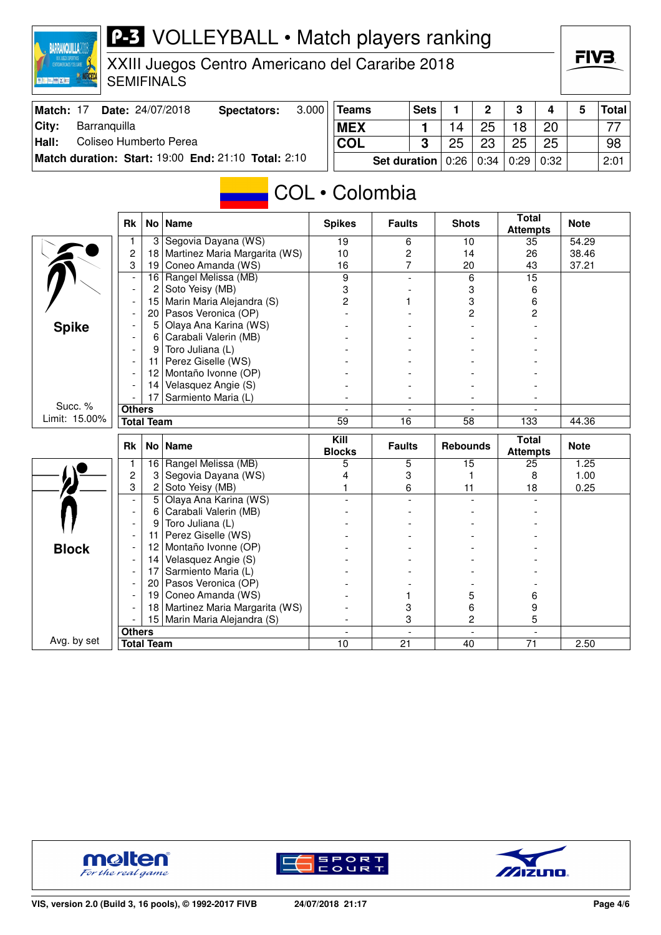XXIII Juegos Centro Americano del Cararibe 2018 SEMIFINALS

| Match: 17 | <b>Date: 24/07/2018</b>                             | Spectators: | 3.000 | Teams                                    | <b>Sets</b> |    | C  | ു  | 4  | Total ∣ |
|-----------|-----------------------------------------------------|-------------|-------|------------------------------------------|-------------|----|----|----|----|---------|
| City:     | Barranquilla                                        |             |       | <b>MEX</b>                               |             |    | 25 | 18 | 20 | ララ      |
| Hall:     | Coliseo Humberto Perea                              |             |       | <b>COL</b>                               | າ           | 25 | 23 | 25 | 25 | 98      |
|           | Match duration: Start: 19:00 End: 21:10 Total: 2:10 |             |       | Set duration   0:26   0:34   0:29   0:32 |             |    |    |    |    | 2:01    |

### **COL** • Colombia

|               | <b>Rk</b>                |                   | No   Name                                | <b>Spikes</b>         | <b>Faults</b>  | <b>Shots</b>    | <b>Total</b><br><b>Attempts</b> | <b>Note</b> |
|---------------|--------------------------|-------------------|------------------------------------------|-----------------------|----------------|-----------------|---------------------------------|-------------|
|               | 1                        | 3                 | Segovia Dayana (WS)                      | 19                    | 6              | 10              | 35                              | 54.29       |
|               | $\overline{c}$           | 18                | Martinez Maria Margarita (WS)            | 10                    | $\overline{c}$ | 14              | 26                              | 38.46       |
|               | 3                        | 19                | Coneo Amanda (WS)                        | 16                    | $\overline{7}$ | 20              | 43                              | 37.21       |
|               | $\overline{\phantom{a}}$ | 16                | Rangel Melissa (MB)                      | 9                     |                | 6               | 15                              |             |
|               | $\overline{a}$           | 2                 | Soto Yeisy (MB)                          | 3                     |                | 3               | 6                               |             |
|               |                          | 15                | Marin Maria Alejandra (S)                | 2                     | 1              | 3               | 6                               |             |
|               |                          | 20                | Pasos Veronica (OP)                      |                       |                | 2               | 2                               |             |
| <b>Spike</b>  |                          | 5                 | Olaya Ana Karina (WS)                    |                       |                |                 |                                 |             |
|               |                          | 6                 | Carabali Valerin (MB)                    |                       |                |                 |                                 |             |
|               |                          | 9                 | Toro Juliana (L)                         |                       |                |                 |                                 |             |
|               |                          | 11                | Perez Giselle (WS)                       |                       |                |                 |                                 |             |
|               |                          | 12                | Montaño Ivonne (OP)                      |                       |                |                 |                                 |             |
|               |                          | 14                | Velasquez Angie (S)                      |                       |                |                 |                                 |             |
|               |                          | 17                | Sarmiento Maria (L)                      |                       |                |                 |                                 |             |
| Succ. %       | <b>Others</b>            |                   |                                          |                       |                |                 |                                 |             |
| Limit: 15.00% |                          | <b>Total Team</b> |                                          | 59                    | 16             | 58              | $\overline{133}$                | 44.36       |
|               |                          |                   |                                          |                       |                |                 |                                 |             |
|               | Rk                       |                   | No   Name                                | Kill<br><b>Blocks</b> | <b>Faults</b>  | <b>Rebounds</b> | <b>Total</b>                    | <b>Note</b> |
|               | 1                        | 16                | Rangel Melissa (MB)                      | 5                     |                | 15              | <b>Attempts</b><br>25           | 1.25        |
|               | $\overline{c}$           | 3                 |                                          | 4                     | 5<br>3         | 1               | 8                               | 1.00        |
|               | 3                        | $\overline{c}$    | Segovia Dayana (WS)                      |                       | 6              | 11              | 18                              | 0.25        |
|               |                          | $\overline{5}$    | Soto Yeisy (MB)<br>Olaya Ana Karina (WS) |                       |                |                 |                                 |             |
|               |                          | 6                 | Carabali Valerin (MB)                    |                       |                |                 |                                 |             |
|               |                          | 9                 | Toro Juliana (L)                         |                       |                |                 |                                 |             |
|               |                          | 11                | Perez Giselle (WS)                       |                       |                |                 |                                 |             |
|               |                          | 12                | Montaño Ivonne (OP)                      |                       |                |                 |                                 |             |
| <b>Block</b>  |                          | 14                | Velasquez Angie (S)                      |                       |                |                 |                                 |             |
|               |                          | 17                | Sarmiento Maria (L)                      |                       |                |                 |                                 |             |
|               |                          | 20                | Pasos Veronica (OP)                      |                       |                |                 |                                 |             |
|               |                          | 19 <sup>1</sup>   | Coneo Amanda (WS)                        |                       |                | 5               | 6                               |             |
|               |                          | 18                | Martinez Maria Margarita (WS)            |                       | 3              | 6               | 9                               |             |
|               |                          | 15                | Marin Maria Alejandra (S)                |                       | 3              | 2               | 5                               |             |
| Avg. by set   | <b>Others</b>            |                   |                                          | $\overline{a}$        | $\overline{a}$ | $\overline{a}$  | $\overline{a}$                  |             |



**BARRANQUILLA**2018



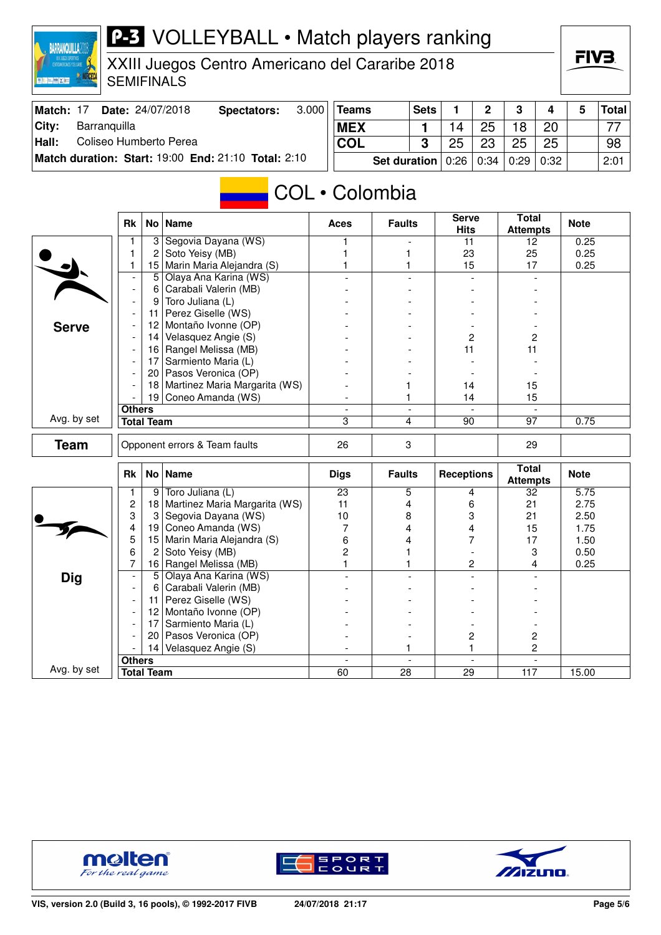### **P-3** VOLLEYBALL • Match players ranking **BARRANQUILLA**2018

XXIII Juegos Centro Americano del Cararibe 2018 SEMIFINALS

| Match: 17 | Date: 24/07/2018                                    | Spectators: | 3.000 | <b>Teams</b>                             | Sets |    | $\overline{2}$ | - 3 | 4  | Total |
|-----------|-----------------------------------------------------|-------------|-------|------------------------------------------|------|----|----------------|-----|----|-------|
| City:     | Barranquilla                                        |             |       | <b>MEX</b>                               |      |    | 25             | 18  | 20 |       |
| Hall:     | Coliseo Humberto Perea                              |             |       | COL                                      |      | 25 | 23             | 25  | 25 | 98    |
|           | Match duration: Start: 19:00 End: 21:10 Total: 2:10 |             |       | Set duration   0:26   0:34   0:29   0:32 |      |    |                |     |    | 2:01  |

### COL • Colombia

|              | <b>Rk</b>                |                   | No   Name                     | <b>Aces</b>                    | <b>Faults</b>                  | <b>Serve</b><br><b>Hits</b> | Total<br><b>Attempts</b> | <b>Note</b>       |
|--------------|--------------------------|-------------------|-------------------------------|--------------------------------|--------------------------------|-----------------------------|--------------------------|-------------------|
|              |                          | 3                 | Segovia Dayana (WS)           |                                |                                | 11                          | 12                       | 0.25              |
|              | 1                        | 2                 | Soto Yeisy (MB)               |                                | 1                              | 23                          | 25                       | 0.25              |
|              | 1                        | 15                | Marin Maria Alejandra (S)     |                                | 1                              | 15                          | 17                       | 0.25              |
|              | $\blacksquare$           | 5                 | Olaya Ana Karina (WS)         |                                |                                |                             |                          |                   |
|              | $\overline{\phantom{a}}$ | 6                 | Carabali Valerin (MB)         |                                |                                |                             |                          |                   |
|              | $\blacksquare$           | 9                 | Toro Juliana (L)              |                                |                                |                             |                          |                   |
|              |                          | 11                | Perez Giselle (WS)            |                                |                                |                             |                          |                   |
| <b>Serve</b> |                          | 12                | Montaño Ivonne (OP)           |                                |                                |                             |                          |                   |
|              |                          | 14                | Velasquez Angie (S)           |                                |                                | 2                           | $\overline{2}$           |                   |
|              |                          |                   | 16 Rangel Melissa (MB)        |                                |                                | 11                          | 11                       |                   |
|              |                          | 17                | Sarmiento Maria (L)           |                                |                                |                             |                          |                   |
|              |                          | 20                | Pasos Veronica (OP)           |                                |                                |                             |                          |                   |
|              |                          | 18                | Martinez Maria Margarita (WS) |                                |                                | 14                          | 15                       |                   |
|              |                          |                   | 19 Coneo Amanda (WS)          |                                | 1                              | 14                          | 15                       |                   |
|              | <b>Others</b>            |                   |                               |                                | $\blacksquare$                 |                             |                          |                   |
| Avg. by set  |                          | <b>Total Team</b> |                               | 3                              | 4                              | 90                          | 97                       | 0.75              |
| <b>Team</b>  |                          |                   | Opponent errors & Team faults | 26                             | 3                              |                             | 29                       |                   |
|              |                          |                   |                               |                                |                                |                             |                          |                   |
|              |                          |                   |                               |                                |                                |                             | <b>Total</b>             |                   |
|              | <b>Rk</b>                |                   | No   Name                     | <b>Digs</b>                    | <b>Faults</b>                  | <b>Receptions</b>           | <b>Attempts</b>          | <b>Note</b>       |
|              | 1                        | 9                 | Toro Juliana (L)              | $\overline{23}$                | 5                              | 4                           | 32                       | $\overline{5.75}$ |
|              | $\overline{c}$           | 18                | Martinez Maria Margarita (WS) | 11                             | 4                              | 6                           | 21                       | 2.75              |
|              | 3                        | 3                 | Segovia Dayana (WS)           | 10                             | 8                              | 3                           | 21                       | 2.50              |
|              | 4                        | 19                | Coneo Amanda (WS)             | 7                              | 4                              | 4                           | 15                       | 1.75              |
|              | 5                        | 15                | Marin Maria Alejandra (S)     | 6                              | 4                              | 7                           | 17                       | 1.50              |
|              | 6                        | $\overline{c}$    | Soto Yeisy (MB)               | $\overline{c}$                 | 1                              |                             | 3                        | 0.50              |
|              | $\overline{7}$           | 16                | Rangel Melissa (MB)           | $\mathbf{1}$                   | 1                              | $\overline{c}$              | 4                        | 0.25              |
| <b>Dig</b>   |                          | $5\overline{)}$   | Olaya Ana Karina (WS)         |                                |                                |                             |                          |                   |
|              |                          | 6                 | Carabali Valerin (MB)         |                                |                                |                             |                          |                   |
|              |                          | 11                | Perez Giselle (WS)            |                                |                                |                             |                          |                   |
|              |                          | 12 <sup>2</sup>   | Montaño Ivonne (OP)           |                                |                                |                             |                          |                   |
|              |                          | 17                | Sarmiento Maria (L)           |                                |                                |                             |                          |                   |
|              |                          | 20                | Pasos Veronica (OP)           |                                |                                | 2                           | 2                        |                   |
|              |                          |                   | 14 Velasquez Angie (S)        |                                | 1                              | 1                           | 2                        |                   |
| Avg. by set  | <b>Others</b>            | <b>Total Team</b> |                               | $\overline{\phantom{a}}$<br>60 | $\overline{\phantom{a}}$<br>28 | $\overline{a}$<br>29        | $\blacksquare$<br>117    | 15.00             |